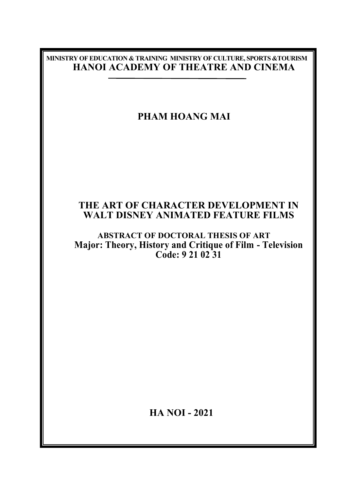### **MINISTRY OF EDUCATION & TRAINING MINISTRY OF CULTURE, SPORTS &TOURISM HANOI ACADEMY OF THEATRE AND CINEMA**

# **PHAM HOANG MAI**

## **THE ART OF CHARACTER DEVELOPMENT IN WALT DISNEY ANIMATED FEATURE FILMS**

### **ABSTRACT OF DOCTORAL THESIS OF ART Major: Theory, History and Critique of Film - Television Code: 9 21 02 31**

 **HA NOI - 2021**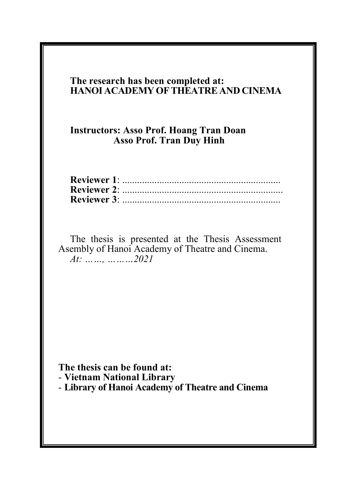## **The research has been completed at: HANOI ACADEMY OF THEATRE AND CINEMA**

## **Instructors: Asso Prof. Hoang Tran Doan Asso Prof. Tran Duy Hinh**

The thesis is presented at the Thesis Assessment Asembly of Hanoi Academy of Theatre and Cinema. *At: ……, ………2021*

**The thesis can be found at:** - **Vietnam National Library** - **Library of Hanoi Academy of Theatre and Cinema**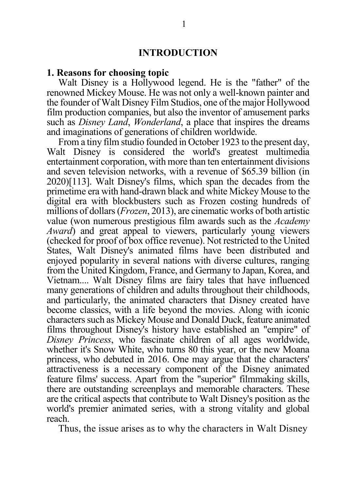#### **INTRODUCTION**

#### **1. Reasons for choosing topic**

Walt Disney is a Hollywood legend. He is the "father" of the renowned Mickey Mouse. He was not only a well-known painter and the founder of Walt Disney Film Studios, one of the major Hollywood film production companies, but also the inventor of amusement parks such as *Disney Land*, *Wonderland*, a place that inspires the dreams and imaginations of generations of children worldwide.

From a tiny film studio founded in October 1923 to the present day, Walt Disney is considered the world's greatest multimedia entertainment corporation, with more than ten entertainment divisions and seven television networks, with a revenue of \$65.39 billion (in 2020)[113]. Walt Disney's films, which span the decades from the primetime era with hand-drawn black and white Mickey Mouse to the digital era with blockbusters such as Frozen costing hundreds of millions of dollars (*Frozen*, 2013), are cinematic works of both artistic value (won numerous prestigious film awards such as the *Academy Award*) and great appeal to viewers, particularly young viewers (checked for proof of box office revenue). Not restricted to the United States, Walt Disney's animated films have been distributed and enjoyed popularity in several nations with diverse cultures, ranging from the United Kingdom, France, and Germany to Japan, Korea, and Vietnam.... Walt Disney films are fairy tales that have influenced many generations of children and adults throughout their childhoods, and particularly, the animated characters that Disney created have become classics, with a life beyond the movies. Along with iconic characters such as Mickey Mouse and Donald Duck, feature animated films throughout Disney's history have established an "empire" of *Disney Princess*, who fascinate children of all ages worldwide, whether it's Snow White, who turns 80 this year, or the new Moana princess, who debuted in 2016. One may argue that the characters' attractiveness is a necessary component of the Disney animated feature films' success. Apart from the "superior" filmmaking skills, there are outstanding screenplays and memorable characters. These are the critical aspects that contribute to Walt Disney's position as the world's premier animated series, with a strong vitality and global reach.

Thus, the issue arises as to why the characters in Walt Disney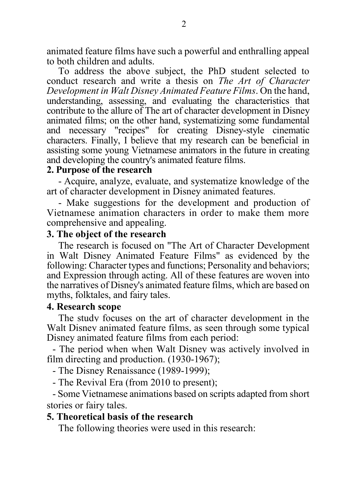animated feature films have such a powerful and enthralling appeal to both children and adults.

To address the above subject, the PhD student selected to conduct research and write a thesis on *The Art of Character Development in Walt Disney Animated Feature Films*. On the hand, understanding, assessing, and evaluating the characteristics that contribute to the allure of The art of character development in Disney animated films; on the other hand, systematizing some fundamental and necessary "recipes" for creating Disney-style cinematic characters. Finally, I believe that my research can be beneficial in assisting some young Vietnamese animators in the future in creating and developing the country's animated feature films.

#### **2. Purpose of the research**

- Acquire, analyze, evaluate, and systematize knowledge of the art of character development in Disney animated features.

- Make suggestions for the development and production of Vietnamese animation characters in order to make them more comprehensive and appealing.

#### **3. The object of the research**

The research is focused on "The Art of Character Development in Walt Disney Animated Feature Films" as evidenced by the following: Character types and functions; Personality and behaviors; and Expression through acting. All of these features are woven into the narratives of Disney's animated feature films, which are based on myths, folktales, and fairy tales.

#### **4. Research scope**

The study focuses on the art of character development in the Walt Disney animated feature films, as seen through some typical Disney animated feature films from each period:

- The period when when Walt Disney was actively involved in film directing and production. (1930-1967);

- The Disney Renaissance (1989-1999);

- The Revival Era (from 2010 to present);

- Some Vietnamese animations based on scripts adapted from short stories or fairy tales.

#### **5. Theoretical basis of the research**

The following theories were used in this research: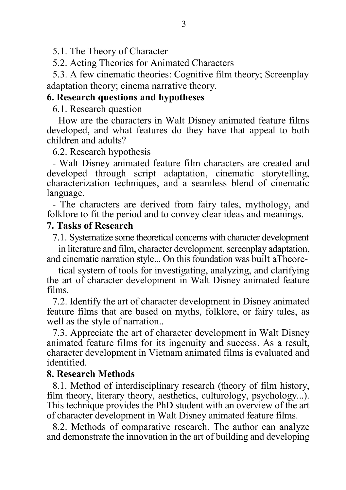5.1. The Theory of Character

5.2. Acting Theories for Animated Characters

5.3. A few cinematic theories: Cognitive film theory; Screenplay adaptation theory; cinema narrative theory.

### **6. Research questions and hypotheses**

6.1. Research question

How are the characters in Walt Disney animated feature films developed, and what features do they have that appeal to both children and adults?

6.2. Research hypothesis

- Walt Disney animated feature film characters are created and developed through script adaptation, cinematic storytelling, characterization techniques, and a seamless blend of cinematic language.

- The characters are derived from fairy tales, mythology, and folklore to fit the period and to convey clear ideas and meanings.

## **7. Tasks of Research**

7.1. Systematize some theoretical concerns with character development

in literature and film, character development, screenplay adaptation, and cinematic narration style... On this foundation was built aTheore-

tical system of tools for investigating, analyzing, and clarifying the art of character development in Walt Disney animated feature films.

7.2. Identify the art of character development in Disney animated feature films that are based on myths, folklore, or fairy tales, as well as the style of narration..

7.3. Appreciate the art of character development in Walt Disney animated feature films for its ingenuity and success. As a result, character development in Vietnam animated films is evaluated and identified.

### **8. Research Methods**

8.1. Method of interdisciplinary research (theory of film history, film theory, literary theory, aesthetics, culturology, psychology...). This technique provides the PhD student with an overview of the art of character development in Walt Disney animated feature films.

8.2. Methods of comparative research. The author can analyze and demonstrate the innovation in the art of building and developing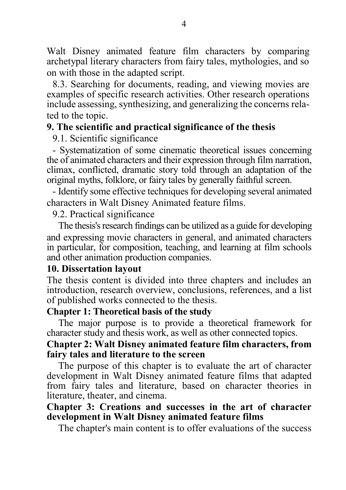Walt Disney animated feature film characters by comparing archetypal literary characters from fairy tales, mythologies, and so on with those in the adapted script.

8.3. Searching for documents, reading, and viewing movies are examples of specific research activities. Other research operations include assessing, synthesizing, and generalizing the concerns related to the topic.

## **9. The scientific and practical significance of the thesis**

9.1. Scientific significance

- Systematization of some cinematic theoretical issues concerning the of animated characters and their expression through film narration, climax, conflicted, dramatic story told through an adaptation of the original myths, folklore, or fairy tales by generally faithful screen.

- Identify some effective techniques for developing several animated characters in Walt Disney Animated feature films.

9.2. Practical significance

The thesis's research findings can be utilized as a guide for developing and expressing movie characters in general, and animated characters in particular, for composition, teaching, and learning at film schools and other animation production companies.

### **10. Dissertation layout**

The thesis content is divided into three chapters and includes an introduction, research overview, conclusions, references, and a list of published works connected to the thesis.

### **Chapter 1: Theoretical basis of the study**

The major purpose is to provide a theoretical framework for character study and thesis work, as well as other connected topics.

## **Chapter 2: Walt Disney animated feature film characters, from fairy tales and literature to the screen**

The purpose of this chapter is to evaluate the art of character development in Walt Disney animated feature films that adapted from fairy tales and literature, based on character theories in literature, theater, and cinema.

### **Chapter 3: Creations and successes in the art of character development in Walt Disney animated feature films**

The chapter's main content is to offer evaluations of the success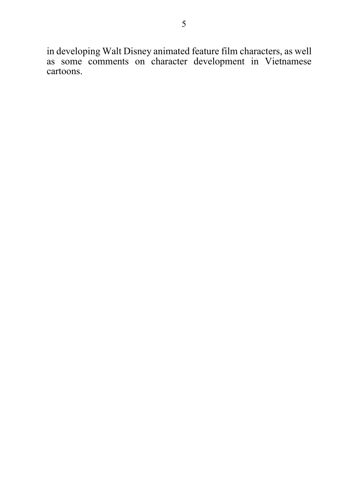in developing Walt Disney animated feature film characters, as well as some comments on character development in Vietnamese cartoons.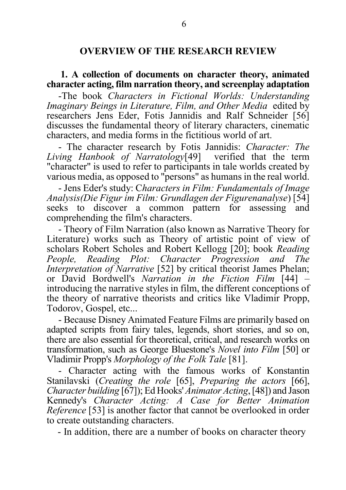#### **OVERVIEW OF THE RESEARCH REVIEW**

#### **1. A collection of documents on character theory, animated character acting, film narration theory, and screenplay adaptation**

-The book *Characters in Fictional Worlds: Understanding Imaginary Beings in Literature, Film, and Other Media* edited by researchers Jens Eder, Fotis Jannidis and Ralf Schneider [56] discusses the fundamental theory of literary characters, cinematic characters, and media forms in the fictitious world of art.

- The character research by Fotis Jannidis: *Character: The Living Hanbook of Narratology*[49] verified that the term "character" is used to refer to participants in tale worlds created by various media, as opposed to "persons" as humans in the real world.

- Jens Eder's study: C*haracters in Film: Fundamentals of Image Analysis(Die Figur im Film: Grundlagen der Figurenanalyse*) [54] seeks to discover a common pattern for assessing and comprehending the film's characters.

- Theory of Film Narration (also known as Narrative Theory for Literature) works such as Theory of artistic point of view of scholars Robert Scholes and Robert Kellogg [20]; book *Reading People, Reading Plot: Character Progression and The Interpretation of Narrative* [52] by critical theorist James Phelan; or David Bordwell's *Narration in the Fiction Film* [44] – introducing the narrative styles in film, the different conceptions of the theory of narrative theorists and critics like Vladimir Propp, Todorov, Gospel, etc...

- Because Disney Animated Feature Films are primarily based on adapted scripts from fairy tales, legends, short stories, and so on, there are also essential for theoretical, critical, and research works on transformation, such as George Bluestone's *Novel into Film* [50] or Vladimir Propp's *Morphology of the Folk Tale* [81].

- Character acting with the famous works of Konstantin Stanilavski (*Creating the role* [65], *Preparing the actors* [66], *Character building* [67]); Ed Hooks' *Animator Acting*, [48]) and Jason Kennedy's *Character Acting: A Case for Better Animation Reference* [53] is another factor that cannot be overlooked in order to create outstanding characters.

- In addition, there are a number of books on character theory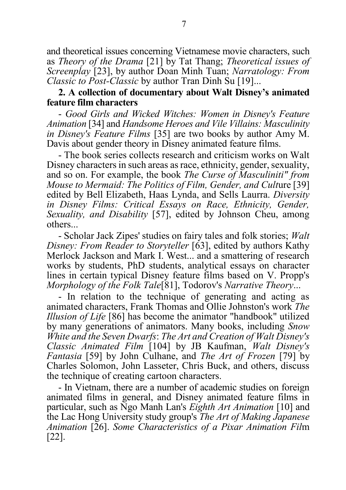and theoretical issues concerning Vietnamese movie characters, such as *Theory of the Drama* [21] by Tat Thang; *Theoretical issues of Screenplay* [23], by author Doan Minh Tuan; *Narratology: From Classic to Post-Classic* by author Tran Dinh Su [19]...

#### **2. A collection of documentary about Walt Disney's animated feature film characters**

- *Good Girls and Wicked Witches: Women in Disney's Feature Animation* [34] and *Handsome Heroes and Vile Villains: Masculinity in Disney's Feature Films* [35] are two books by author Amy M. Davis about gender theory in Disney animated feature films.

- The book series collects research and criticism works on Walt Disney characters in such areas as race, ethnicity, gender, sexuality, and so on. For example, the book *The Curse of Masculiniti" from Mouse to Mermaid: The Politics of Film, Gender, and Cult*ure [39] edited by Bell Elizabeth, Haas Lynda, and Sells Laurra. *Diversity in Disney Films: Critical Essays on Race, Ethnicity, Gender, Sexuality, and Disability* [57], edited by Johnson Cheu, among others...

- Scholar Jack Zipes' studies on fairy tales and folk stories; *Walt Disney: From Reader to Storyteller* [63], edited by authors Kathy Merlock Jackson and Mark I. West... and a smattering of research works by students, PhD students, analytical essays on character lines in certain typical Disney feature films based on V. Propp's *Morphology of the Folk Tale*[81], Todorov's *Narrative Theory*...

- In relation to the technique of generating and acting as animated characters, Frank Thomas and Ollie Johnston's work *The Illusion of Life* [86] has become the animator "handbook" utilized by many generations of animators. Many books, including *Snow White and the Seven Dwarfs*: *The Art and Creation of Walt Disney's Classic Animated Film* [104] by JB Kaufman, *Walt Disney's Fantasia* [59] by John Culhane, and *The Art of Frozen* [79] by Charles Solomon, John Lasseter, Chris Buck, and others, discuss the technique of creating cartoon characters.

- In Vietnam, there are a number of academic studies on foreign animated films in general, and Disney animated feature films in particular, such as Ngo Manh Lan's *Eighth Art Animation* [10] and the Lac Hong University study group's *The Art of Making Japanese Animation* [26]. *Some Characteristics of a Pixar Animation Fil*m [22].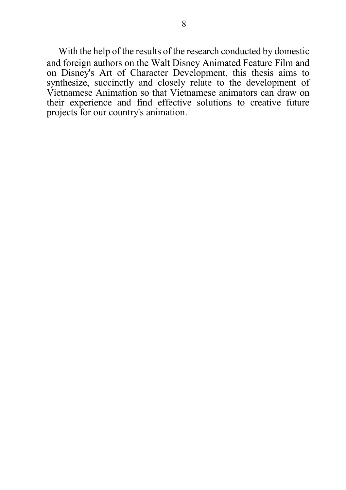With the help of the results of the research conducted by domestic and foreign authors on the Walt Disney Animated Feature Film and on Disney's Art of Character Development, this thesis aims to synthesize, succinctly and closely relate to the development of Vietnamese Animation so that Vietnamese animators can draw on their experience and find effective solutions to creative future projects for our country's animation.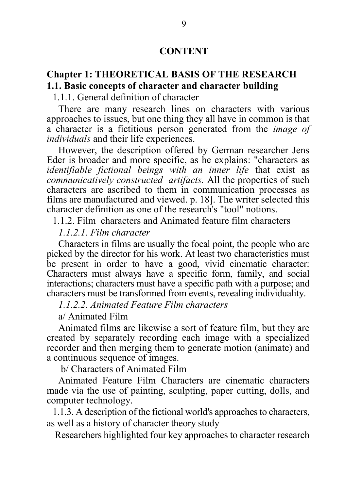#### **CONTENT**

## **Chapter 1: THEORETICAL BASIS OF THE RESEARCH 1.1. Basic concepts of character and character building**

1.1.1. General definition of character

There are many research lines on characters with various approaches to issues, but one thing they all have in common is that a character is a fictitious person generated from the *image of individuals* and their life experiences.

However, the description offered by German researcher Jens Eder is broader and more specific, as he explains: "characters as *identifiable fictional beings with an inner life* that exist as *communicatively constructed artifacts.* All the properties of such characters are ascribed to them in communication processes as films are manufactured and viewed. p. 18]. The writer selected this character definition as one of the research's "tool" notions.

1.1.2. Film characters and Animated feature film characters

*1.1.2.1. Film character*

Characters in films are usually the focal point, the people who are picked by the director for his work. At least two characteristics must be present in order to have a good, vivid cinematic character: Characters must always have a specific form, family, and social interactions; characters must have a specific path with a purpose; and characters must be transformed from events, revealing individuality.

*1.1.2.2. Animated Feature Film characters*

a/ Animated Film

Animated films are likewise a sort of feature film, but they are created by separately recording each image with a specialized recorder and then merging them to generate motion (animate) and a continuous sequence of images.

b/ Characters of Animated Film

Animated Feature Film Characters are cinematic characters made via the use of painting, sculpting, paper cutting, dolls, and computer technology.

1.1.3. A description of the fictional world's approaches to characters, as well as a history of character theory study

Researchers highlighted four key approaches to character research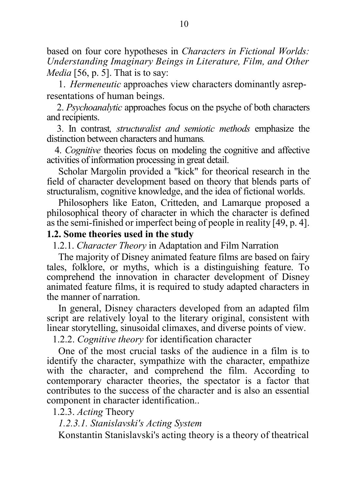based on four core hypotheses in *Characters in Fictional Worlds: Understanding Imaginary Beings in Literature, Film, and Other Media* [56, p. 5]. That is to say:

1. *Hermeneutic* approaches view characters dominantly asrepresentations of human beings.

 2. *Psychoanalytic* approaches focus on the psyche of both characters and recipients.

 3. In contrast*, structuralist and semiotic methods* emphasize the distinction between characters and humans*.*

4. *Cognitive* theories focus on modeling the cognitive and affective activities of information processing in great detail.

Scholar Margolin provided a "kick" for theorical research in the field of character development based on theory that blends parts of structuralism, cognitive knowledge, and the idea of fictional worlds.

Philosophers like Eaton, Critteden, and Lamarque proposed a philosophical theory of character in which the character is defined as the semi-finished or imperfect being of people in reality [49, p. 4].

#### **1.2. Some theories used in the study**

1.2.1. *Character Theory* in Adaptation and Film Narration

The majority of Disney animated feature films are based on fairy tales, folklore, or myths, which is a distinguishing feature. To comprehend the innovation in character development of Disney animated feature films, it is required to study adapted characters in the manner of narration.

In general, Disney characters developed from an adapted film script are relatively loyal to the literary original, consistent with linear storytelling, sinusoidal climaxes, and diverse points of view.

1.2.2. *Cognitive theory* for identification character

One of the most crucial tasks of the audience in a film is to identify the character, sympathize with the character, empathize with the character, and comprehend the film. According to contemporary character theories, the spectator is a factor that contributes to the success of the character and is also an essential component in character identification..

1.2.3. *Acting* Theory

*1.2.3.1. Stanislavski's Acting System*

Konstantin Stanislavski's acting theory is a theory of theatrical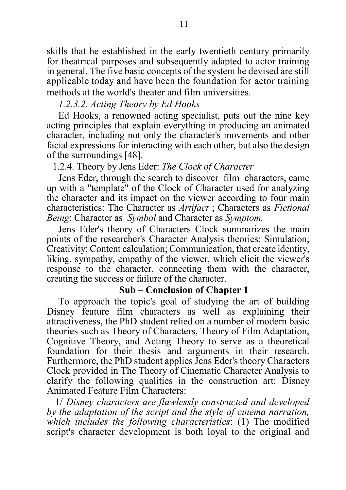skills that he established in the early twentieth century primarily for theatrical purposes and subsequently adapted to actor training in general. The five basic concepts of the system he devised are still applicable today and have been the foundation for actor training methods at the world's theater and film universities.

*1.2.3.2. Acting Theory by Ed Hooks*

Ed Hooks, a renowned acting specialist, puts out the nine key acting principles that explain everything in producing an animated character, including not only the character's movements and other facial expressions for interacting with each other, but also the design of the surroundings [48].

#### 1.2.4. Theory by Jens Eder: *The Clock of Character*

Jens Eder, through the search to discover film characters, came up with a "template" of the Clock of Character used for analyzing the character and its impact on the viewer according to four main characteristics: The Character as *Artifact* ; Characters as *Fictional Being*; Character as *Symbol* and Character as *Symptom.*

Jens Eder's theory of Characters Clock summarizes the main points of the researcher's Character Analysis theories: Simulation; Creativity; Content calculation; Communication, that create identity, liking, sympathy, empathy of the viewer, which elicit the viewer's response to the character, connecting them with the character, creating the success or failure of the character.

### **Sub – Conclusion of Chapter 1**

To approach the topic's goal of studying the art of building Disney feature film characters as well as explaining their attractiveness, the PhD student relied on a number of modern basic theories such as Theory of Characters, Theory of Film Adaptation, Cognitive Theory, and Acting Theory to serve as a theoretical foundation for their thesis and arguments in their research. Furthermore, the PhD student applies Jens Eder's theory Characters Clock provided in The Theory of Cinematic Character Analysis to clarify the following qualities in the construction art: Disney Animated Feature Film Characters:

1/ *Disney characters are flawlessly constructed and developed by the adaptation of the script and the style of cinema narration, which includes the following characteristics*: (1) The modified script's character development is both loyal to the original and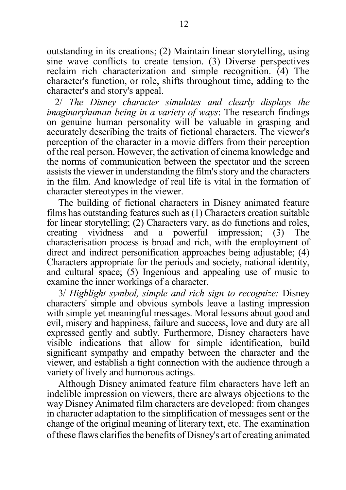outstanding in its creations; (2) Maintain linear storytelling, using sine wave conflicts to create tension. (3) Diverse perspectives reclaim rich characterization and simple recognition. (4) The character's function, or role, shifts throughout time, adding to the character's and story's appeal.

2/ *The Disney character simulates and clearly displays the imaginaryhuman being in a variety of ways*: The research findings on genuine human personality will be valuable in grasping and accurately describing the traits of fictional characters. The viewer's perception of the character in a movie differs from their perception of the real person. However, the activation of cinema knowledge and the norms of communication between the spectator and the screen assists the viewer in understanding the film's story and the characters in the film. And knowledge of real life is vital in the formation of character stereotypes in the viewer.

The building of fictional characters in Disney animated feature films has outstanding features such as (1) Characters creation suitable for linear storytelling; (2) Characters vary, as do functions and roles, creating vividness and a powerful impression; (3) The characterisation process is broad and rich, with the employment of direct and indirect personification approaches being adjustable; (4) Characters appropriate for the periods and society, national identity, and cultural space; (5) Ingenious and appealing use of music to examine the inner workings of a character.

3/ *Highlight symbol, simple and rich sign to recognize:* Disney characters' simple and obvious symbols leave a lasting impression with simple yet meaningful messages. Moral lessons about good and evil, misery and happiness, failure and success, love and duty are all expressed gently and subtly. Furthermore, Disney characters have visible indications that allow for simple identification, build significant sympathy and empathy between the character and the viewer, and establish a tight connection with the audience through a variety of lively and humorous actings.

Although Disney animated feature film characters have left an indelible impression on viewers, there are always objections to the way Disney Animated film characters are developed: from changes in character adaptation to the simplification of messages sent or the change of the original meaning of literary text, etc. The examination of these flaws clarifies the benefits of Disney's art of creating animated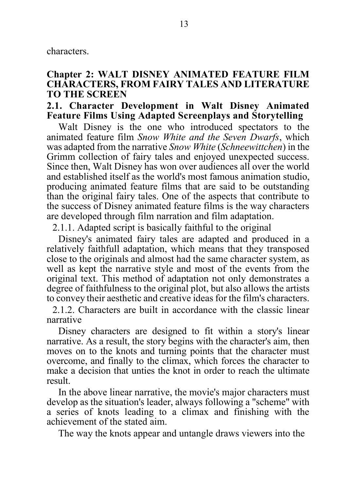characters.

### **Chapter 2: WALT DISNEY ANIMATED FEATURE FILM CHARACTERS, FROM FAIRY TALES AND LITERATURE TO THE SCREEN**

#### **2.1. Character Development in Walt Disney Animated Feature Films Using Adapted Screenplays and Storytelling**

Walt Disney is the one who introduced spectators to the animated feature film *Snow White and the Seven Dwarfs*, which was adapted from the narrative *Snow White* (*Schneewittchen*) in the Grimm collection of fairy tales and enjoyed unexpected success. Since then, Walt Disney has won over audiences all over the world and established itself as the world's most famous animation studio, producing animated feature films that are said to be outstanding than the original fairy tales. One of the aspects that contribute to the success of Disney animated feature films is the way characters are developed through film narration and film adaptation.

2.1.1. Adapted script is basically faithful to the original

Disney's animated fairy tales are adapted and produced in a relatively faithfull adaptation, which means that they transposed close to the originals and almost had the same character system, as well as kept the narrative style and most of the events from the original text. This method of adaptation not only demonstrates a degree of faithfulness to the original plot, but also allows the artists to convey their aesthetic and creative ideas for the film's characters.

2.1.2. Characters are built in accordance with the classic linear narrative

Disney characters are designed to fit within a story's linear narrative. As a result, the story begins with the character's aim, then moves on to the knots and turning points that the character must overcome, and finally to the climax, which forces the character to make a decision that unties the knot in order to reach the ultimate result.

In the above linear narrative, the movie's major characters must develop as the situation's leader, always following a "scheme" with a series of knots leading to a climax and finishing with the achievement of the stated aim.

The way the knots appear and untangle draws viewers into the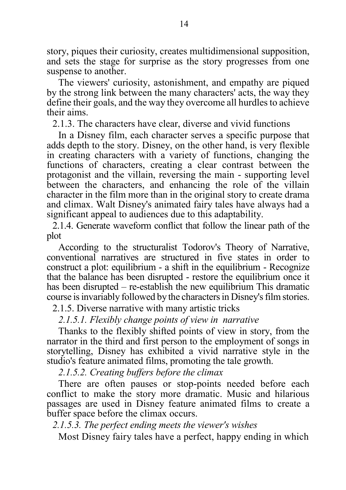story, piques their curiosity, creates multidimensional supposition, and sets the stage for surprise as the story progresses from one suspense to another.

The viewers' curiosity, astonishment, and empathy are piqued by the strong link between the many characters' acts, the way they define their goals, and the way they overcome all hurdles to achieve their aims.

2.1.3. The characters have clear, diverse and vivid functions

In a Disney film, each character serves a specific purpose that adds depth to the story. Disney, on the other hand, is very flexible in creating characters with a variety of functions, changing the functions of characters, creating a clear contrast between the protagonist and the villain, reversing the main - supporting level between the characters, and enhancing the role of the villain character in the film more than in the original story to create drama and climax. Walt Disney's animated fairy tales have always had a significant appeal to audiences due to this adaptability.

2.1.4. Generate waveform conflict that follow the linear path of the plot

According to the structuralist Todorov's Theory of Narrative, conventional narratives are structured in five states in order to construct a plot: equilibrium - a shift in the equilibrium - Recognize that the balance has been disrupted - restore the equilibrium once it has been disrupted – re-establish the new equilibrium This dramatic course is invariably followed by the characters in Disney's film stories.

2.1.5. Diverse narrative with many artistic tricks

*2.1.5.1. Flexibly change points of view in narrative*

Thanks to the flexibly shifted points of view in story, from the narrator in the third and first person to the employment of songs in storytelling, Disney has exhibited a vivid narrative style in the studio's feature animated films, promoting the tale growth.

*2.1.5.2. Creating buffers before the climax*

There are often pauses or stop-points needed before each conflict to make the story more dramatic. Music and hilarious passages are used in Disney feature animated films to create a buffer space before the climax occurs.

*2.1.5.3. The perfect ending meets the viewer's wishes*

Most Disney fairy tales have a perfect, happy ending in which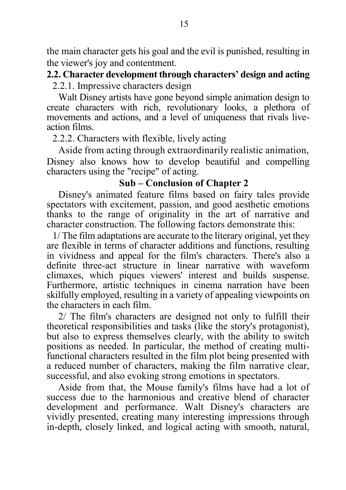the main character gets his goal and the evil is punished, resulting in the viewer's joy and contentment.

#### **2.2. Character development through characters' design and acting**

2.2.1. Impressive characters design

Walt Disney artists have gone beyond simple animation design to create characters with rich, revolutionary looks, a plethora of movements and actions, and a level of uniqueness that rivals liveaction films.

2.2.2. Characters with flexible, lively acting

Aside from acting through extraordinarily realistic animation, Disney also knows how to develop beautiful and compelling characters using the "recipe" of acting.

### **Sub – Conclusion of Chapter 2**

Disney's animated feature films based on fairy tales provide spectators with excitement, passion, and good aesthetic emotions thanks to the range of originality in the art of narrative and character construction. The following factors demonstrate this:

1/ The film adaptations are accurate to the literary original, yet they are flexible in terms of character additions and functions, resulting in vividness and appeal for the film's characters. There's also a definite three-act structure in linear narrative with waveform climaxes, which piques viewers' interest and builds suspense. Furthermore, artistic techniques in cinema narration have been skilfully employed, resulting in a variety of appealing viewpoints on the characters in each film.

2/ The film's characters are designed not only to fulfill their theoretical responsibilities and tasks (like the story's protagonist), but also to express themselves clearly, with the ability to switch positions as needed. In particular, the method of creating multifunctional characters resulted in the film plot being presented with a reduced number of characters, making the film narrative clear, successful, and also evoking strong emotions in spectators.

Aside from that, the Mouse family's films have had a lot of success due to the harmonious and creative blend of character development and performance. Walt Disney's characters are vividly presented, creating many interesting impressions through in-depth, closely linked, and logical acting with smooth, natural,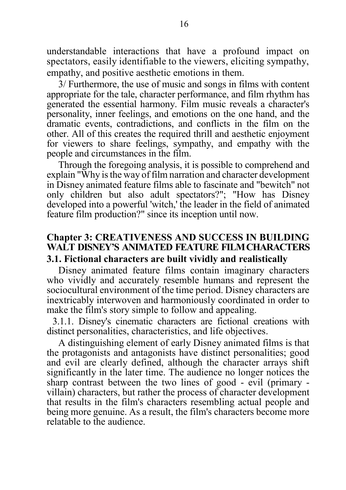understandable interactions that have a profound impact on spectators, easily identifiable to the viewers, eliciting sympathy, empathy, and positive aesthetic emotions in them.

3/ Furthermore, the use of music and songs in films with content appropriate for the tale, character performance, and film rhythm has generated the essential harmony. Film music reveals a character's personality, inner feelings, and emotions on the one hand, and the dramatic events, contradictions, and conflicts in the film on the other. All of this creates the required thrill and aesthetic enjoyment for viewers to share feelings, sympathy, and empathy with the people and circumstances in the film.

Through the foregoing analysis, it is possible to comprehend and explain "Why is the way of film narration and character development in Disney animated feature films able to fascinate and "bewitch" not only children but also adult spectators?"; "How has Disney developed into a powerful 'witch,' the leader in the field of animated feature film production?" since its inception until now.

## **Chapter 3: CREATIVENESS AND SUCCESS IN BUILDING WALT DISNEY'S ANIMATED FEATURE FILMCHARACTERS 3.1. Fictional characters are built vividly and realistically**

Disney animated feature films contain imaginary characters who vividly and accurately resemble humans and represent the sociocultural environment of the time period. Disney characters are inextricably interwoven and harmoniously coordinated in order to make the film's story simple to follow and appealing.

3.1.1. Disney's cinematic characters are fictional creations with distinct personalities, characteristics, and life objectives.

A distinguishing element of early Disney animated films is that the protagonists and antagonists have distinct personalities; good and evil are clearly defined, although the character arrays shift significantly in the later time. The audience no longer notices the sharp contrast between the two lines of good - evil (primary villain) characters, but rather the process of character development that results in the film's characters resembling actual people and being more genuine. As a result, the film's characters become more relatable to the audience.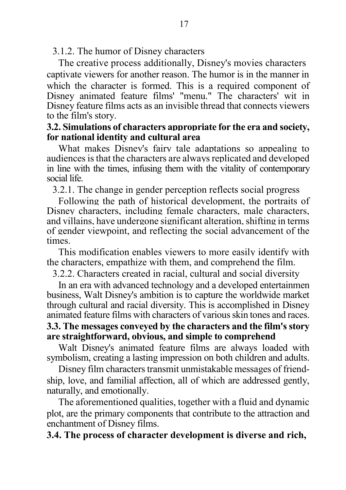3.1.2. The humor of Disney characters

The creative process additionally, Disney's movies characters captivate viewers for another reason. The humor is in the manner in which the character is formed. This is a required component of Disney animated feature films' "menu." The characters' wit in Disney feature films acts as an invisible thread that connects viewers to the film's story.

## **3.2. Simulations of characters appropriate for the era and society, for national identity and cultural area**

What makes Disney's fairy tale adaptations so appealing to audiences is that the characters are always replicated and developed in line with the times, infusing them with the vitality of contemporary social life.

3.2.1. The change in gender perception reflects social progress

Following the path of historical development, the portraits of Disney characters, including female characters, male characters, and villains, have undergone significant alteration, shifting in terms of gender viewpoint, and reflecting the social advancement of the times.

This modification enables viewers to more easily identify with the characters, empathize with them, and comprehend the film.

3.2.2. Characters created in racial, cultural and social diversity

In an era with advanced technology and a developed entertainmen business, Walt Disney's ambition is to capture the worldwide market through cultural and racial diversity. This is accomplished in Disney animated feature films with characters of various skin tones and races.

### **3.3. The messages conveyed by the characters and the film's story are straightforward, obvious, and simple to comprehend**

Walt Disney's animated feature films are always loaded with symbolism, creating a lasting impression on both children and adults.

Disney film characters transmit unmistakable messages of friendship, love, and familial affection, all of which are addressed gently, naturally, and emotionally.

The aforementioned qualities, together with a fluid and dynamic plot, are the primary components that contribute to the attraction and enchantment of Disney films.

**3.4. The process of character development is diverse and rich,**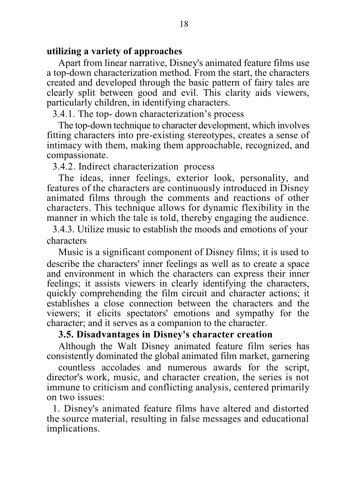### **utilizing a variety of approaches**

Apart from linear narrative, Disney's animated feature films use a top-down characterization method. From the start, the characters created and developed through the basic pattern of fairy tales are clearly split between good and evil. This clarity aids viewers, particularly children, in identifying characters.

3.4.1. The top- down characterization's process

The top-down technique to character development, which involves fitting characters into pre-existing stereotypes, creates a sense of intimacy with them, making them approachable, recognized, and compassionate.

#### 3.4.2. Indirect characterization process

The ideas, inner feelings, exterior look, personality, and features of the characters are continuously introduced in Disney animated films through the comments and reactions of other characters. This technique allows for dynamic flexibility in the manner in which the tale is told, thereby engaging the audience.

3.4.3. Utilize music to establish the moods and emotions of your characters

Music is a significant component of Disney films; it is used to describe the characters' inner feelings as well as to create a space and environment in which the characters can express their inner feelings; it assists viewers in clearly identifying the characters, quickly comprehending the film circuit and character actions; it establishes a close connection between the characters and the viewers; it elicits spectators' emotions and sympathy for the character; and it serves as a companion to the character.

## **3.5. Disadvantages in Disney's character creation**

Although the Walt Disney animated feature film series has consistently dominated the global animated film market, garnering

countless accolades and numerous awards for the script, director's work, music, and character creation, the series is not immune to criticism and conflicting analysis, centered primarily on two issues:

1. Disney's animated feature films have altered and distorted the source material, resulting in false messages and educational implications.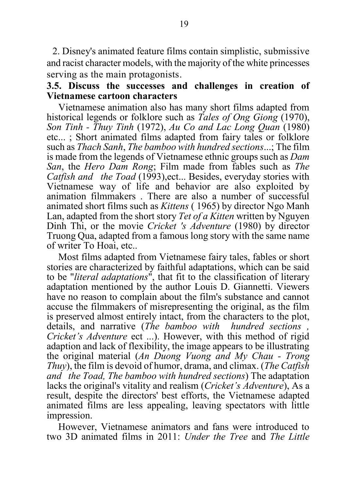2. Disney's animated feature films contain simplistic, submissive and racist character models, with the majority of the white princesses serving as the main protagonists.

## **3.5. Discuss the successes and challenges in creation of Vietnamese cartoon characters**

Vietnamese animation also has many short films adapted from historical legends or folklore such as *Tales of Ong Giong* (1970), *Son Tinh - Thuy Tinh* (1972), *Au Co and Lac Long Quan* (1980) etc... ; Short animated films adapted from fairy tales or folklore such as *Thach Sanh*, *The bamboo with hundred sections*...; The film is made from the legends of Vietnamese ethnic groups such as *Dam San*, the *Hero Dam Rong*; Film made from fables such as *The Catfish and the Toad* (1993),ect... Besides, everyday stories with Vietnamese way of life and behavior are also exploited by animation filmmakers . There are also a number of successful animated short films such as *Kittens* ( 1965) by director Ngo Manh Lan, adapted from the short story *Tet of a Kitten* written by Nguyen Dinh Thi, or the movie *Cricket 's Adventure* (1980) by director Truong Qua, adapted from a famous long story with the same name of writer To Hoai, etc..

Most films adapted from Vietnamese fairy tales, fables or short stories are characterized by faithful adaptations, which can be said to be "*literal adaptations*", that fit to the classification of literary adaptation mentioned by the author Louis D. Giannetti. Viewers have no reason to complain about the film's substance and cannot accuse the filmmakers of misrepresenting the original, as the film is preserved almost entirely intact, from the characters to the plot, details, and narrative (*The bamboo with hundred sections , Cricket's Adventure* ect ...). However, with this method of rigid adaption and lack of flexibility, the image appears to be illustrating the original material (*An Duong Vuong and My Chau - Trong Thuy*), the film is devoid of humor, drama, and climax. (*The Catfish and the Toad, The bamboo with hundred sections*) The adaptation lacks the original's vitality and realism (*Cricket's Adventure*), As a result, despite the directors' best efforts, the Vietnamese adapted animated films are less appealing, leaving spectators with little impression.

However, Vietnamese animators and fans were introduced to two 3D animated films in 2011: *Under the Tree* and *The Little*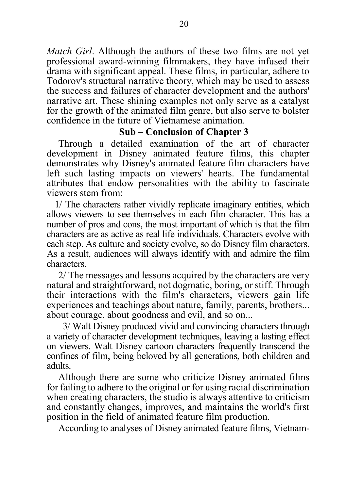*Match Girl*. Although the authors of these two films are not yet professional award-winning filmmakers, they have infused their drama with significant appeal. These films, in particular, adhere to Todorov's structural narrative theory, which may be used to assess the success and failures of character development and the authors' narrative art. These shining examples not only serve as a catalyst for the growth of the animated film genre, but also serve to bolster confidence in the future of Vietnamese animation.

#### **Sub – Conclusion of Chapter 3**

Through a detailed examination of the art of character development in Disney animated feature films, this chapter demonstrates why Disney's animated feature film characters have left such lasting impacts on viewers' hearts. The fundamental attributes that endow personalities with the ability to fascinate viewers stem from:

1/ The characters rather vividly replicate imaginary entities, which allows viewers to see themselves in each film character. This has a number of pros and cons, the most important of which is that the film characters are as active as real life individuals. Characters evolve with each step. As culture and society evolve, so do Disney film characters. As a result, audiences will always identify with and admire the film characters.

2/ The messages and lessons acquired by the characters are very natural and straightforward, not dogmatic, boring, or stiff. Through their interactions with the film's characters, viewers gain life experiences and teachings about nature, family, parents, brothers... about courage, about goodness and evil, and so on...

 3/ Walt Disney produced vivid and convincing characters through a variety of character development techniques, leaving a lasting effect on viewers. Walt Disney cartoon characters frequently transcend the confines of film, being beloved by all generations, both children and adults.

Although there are some who criticize Disney animated films for failing to adhere to the original or for using racial discrimination when creating characters, the studio is always attentive to criticism and constantly changes, improves, and maintains the world's first position in the field of animated feature film production.

According to analyses of Disney animated feature films, Vietnam-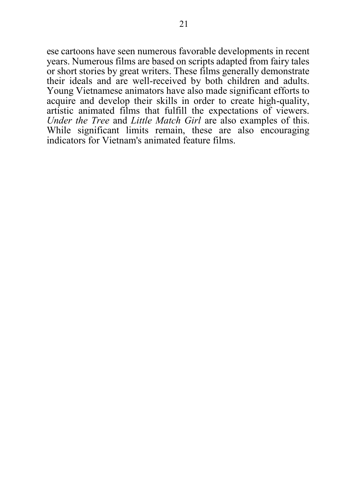ese cartoons have seen numerous favorable developments in recent years. Numerous films are based on scripts adapted from fairy tales or short stories by great writers. These films generally demonstrate their ideals and are well-received by both children and adults. Young Vietnamese animators have also made significant efforts to acquire and develop their skills in order to create high-quality, artistic animated films that fulfill the expectations of viewers. *Under the Tree* and *Little Match Girl* are also examples of this. While significant limits remain, these are also encouraging indicators for Vietnam's animated feature films.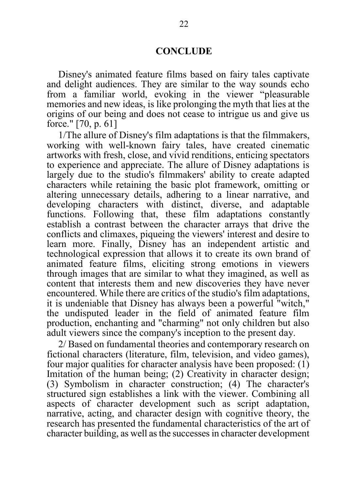#### **CONCLUDE**

Disney's animated feature films based on fairy tales captivate and delight audiences. They are similar to the way sounds echo from a familiar world, evoking in the viewer "pleasurable memories and new ideas, is like prolonging the myth that lies at the origins of our being and does not cease to intrigue us and give us force." [70, p. 61]

1/The allure of Disney's film adaptations is that the filmmakers, working with well-known fairy tales, have created cinematic artworks with fresh, close, and vivid renditions, enticing spectators to experience and appreciate. The allure of Disney adaptations is largely due to the studio's filmmakers' ability to create adapted characters while retaining the basic plot framework, omitting or altering unnecessary details, adhering to a linear narrative, and developing characters with distinct, diverse, and adaptable functions. Following that, these film adaptations constantly establish a contrast between the character arrays that drive the conflicts and climaxes, piqueing the viewers' interest and desire to learn more. Finally, Disney has an independent artistic and technological expression that allows it to create its own brand of animated feature films, eliciting strong emotions in viewers through images that are similar to what they imagined, as well as content that interests them and new discoveries they have never encountered. While there are critics of the studio's film adaptations, it is undeniable that Disney has always been a powerful "witch," the undisputed leader in the field of animated feature film production, enchanting and "charming" not only children but also adult viewers since the company's inception to the present day.

2/ Based on fundamental theories and contemporary research on fictional characters (literature, film, television, and video games), four major qualities for character analysis have been proposed:  $(1)$ Imitation of the human being; (2) Creativity in character design; (3) Symbolism in character construction; (4) The character's structured sign establishes a link with the viewer. Combining all aspects of character development such as script adaptation, narrative, acting, and character design with cognitive theory, the research has presented the fundamental characteristics of the art of character building, as well as the successes in character development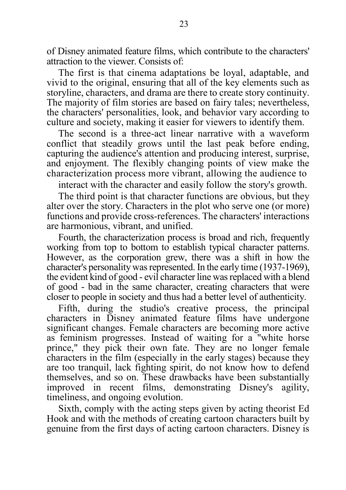of Disney animated feature films, which contribute to the characters' attraction to the viewer. Consists of:

The first is that cinema adaptations be loyal, adaptable, and vivid to the original, ensuring that all of the key elements such as storyline, characters, and drama are there to create story continuity. The majority of film stories are based on fairy tales; nevertheless, the characters' personalities, look, and behavior vary according to culture and society, making it easier for viewers to identify them.

The second is a three-act linear narrative with a waveform conflict that steadily grows until the last peak before ending, capturing the audience's attention and producing interest, surprise, and enjoyment. The flexibly changing points of view make the characterization process more vibrant, allowing the audience to

interact with the character and easily follow the story's growth.

The third point is that character functions are obvious, but they alter over the story. Characters in the plot who serve one (or more) functions and provide cross-references. The characters' interactions are harmonious, vibrant, and unified.

Fourth, the characterization process is broad and rich, frequently working from top to bottom to establish typical character patterns. However, as the corporation grew, there was a shift in how the character's personality was represented. In the early time (1937-1969), the evident kind of good - evil character line was replaced with a blend of good - bad in the same character, creating characters that were closer to people in society and thus had a better level of authenticity.

Fifth, during the studio's creative process, the principal characters in Disney animated feature films have undergone significant changes. Female characters are becoming more active as feminism progresses. Instead of waiting for a "white horse prince," they pick their own fate. They are no longer female characters in the film (especially in the early stages) because they are too tranquil, lack fighting spirit, do not know how to defend themselves, and so on. These drawbacks have been substantially improved in recent films, demonstrating Disney's agility, timeliness, and ongoing evolution.

Sixth, comply with the acting steps given by acting theorist Ed Hook and with the methods of creating cartoon characters built by genuine from the first days of acting cartoon characters. Disney is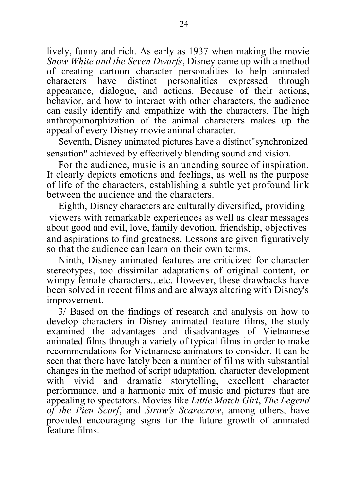lively, funny and rich. As early as 1937 when making the movie *Snow White and the Seven Dwarfs*, Disney came up with a method of creating cartoon character personalities to help animated characters have distinct personalities expressed through appearance, dialogue, and actions. Because of their actions, behavior, and how to interact with other characters, the audience can easily identify and empathize with the characters. The high anthropomorphization of the animal characters makes up the appeal of every Disney movie animal character.

Seventh, Disney animated pictures have a distinct"synchronized sensation" achieved by effectively blending sound and vision.

For the audience, music is an unending source of inspiration. It clearly depicts emotions and feelings, as well as the purpose of life of the characters, establishing a subtle yet profound link between the audience and the characters.

Eighth, Disney characters are culturally diversified, providing viewers with remarkable experiences as well as clear messages about good and evil, love, family devotion, friendship, objectives and aspirations to find greatness. Lessons are given figuratively so that the audience can learn on their own terms.

Ninth, Disney animated features are criticized for character stereotypes, too dissimilar adaptations of original content, or wimpy female characters...etc. However, these drawbacks have been solved in recent films and are always altering with Disney's improvement.

3/ Based on the findings of research and analysis on how to develop characters in Disney animated feature films, the study examined the advantages and disadvantages of Vietnamese animated films through a variety of typical films in order to make recommendations for Vietnamese animators to consider. It can be seen that there have lately been a number of films with substantial changes in the method of script adaptation, character development with vivid and dramatic storytelling, excellent character performance, and a harmonic mix of music and pictures that are appealing to spectators. Movies like *Little Match Girl*, *The Legend of the Pieu Scarf*, and *Straw's Scarecrow*, among others, have provided encouraging signs for the future growth of animated feature films.